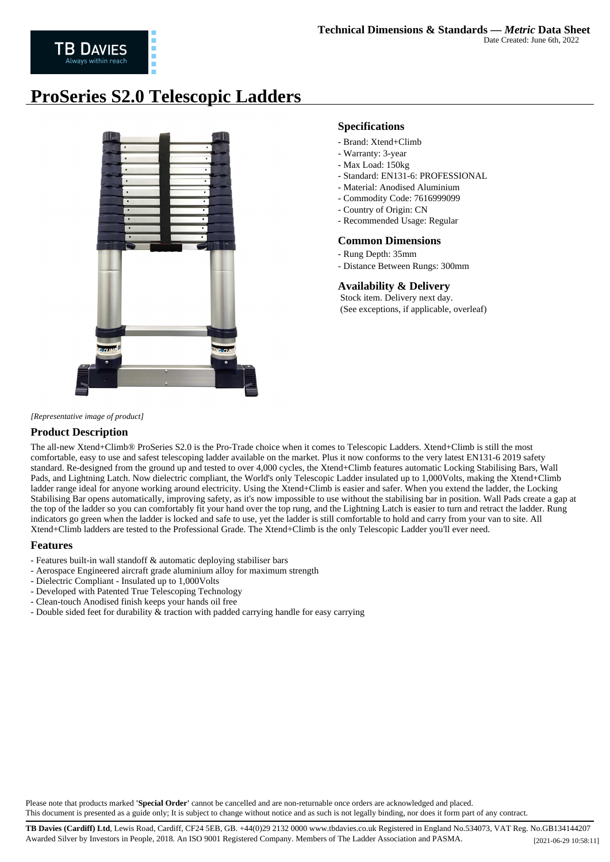# **ProSeries S2.0 Telescopic Ladders**



### **Specifications**

- Brand: Xtend+Climb
- Warranty: 3-year
- Max Load: 150kg
- Standard: EN131-6: PROFESSIONAL
- Material: Anodised Aluminium
- Commodity Code: 7616999099
- Country of Origin: CN
- Recommended Usage: Regular

#### **Common Dimensions**

- Rung Depth: 35mm
- Distance Between Rungs: 300mm

## **Availability & Delivery**

 Stock item. Delivery next day. (See exceptions, if applicable, overleaf)

*[Representative image of product]*

### **Product Description**

The all-new Xtend+Climb® ProSeries S2.0 is the Pro-Trade choice when it comes to Telescopic Ladders. Xtend+Climb is still the most comfortable, easy to use and safest telescoping ladder available on the market. Plus it now conforms to the very latest EN131-6 2019 safety standard. Re-designed from the ground up and tested to over 4,000 cycles, the Xtend+Climb features automatic Locking Stabilising Bars, Wall Pads, and Lightning Latch. Now dielectric compliant, the World's only Telescopic Ladder insulated up to 1,000Volts, making the Xtend+Climb ladder range ideal for anyone working around electricity. Using the Xtend+Climb is easier and safer. When you extend the ladder, the Locking Stabilising Bar opens automatically, improving safety, as it's now impossible to use without the stabilising bar in position. Wall Pads create a gap at the top of the ladder so you can comfortably fit your hand over the top rung, and the Lightning Latch is easier to turn and retract the ladder. Rung indicators go green when the ladder is locked and safe to use, yet the ladder is still comfortable to hold and carry from your van to site. All Xtend+Climb ladders are tested to the Professional Grade. The Xtend+Climb is the only Telescopic Ladder you'll ever need.

#### **Features**

- Features built-in wall standoff & automatic deploying stabiliser bars
- Aerospace Engineered aircraft grade aluminium alloy for maximum strength
- Dielectric Compliant Insulated up to 1,000Volts
- Developed with Patented True Telescoping Technology
- Clean-touch Anodised finish keeps your hands oil free
- Double sided feet for durability  $\&$  traction with padded carrying handle for easy carrying

Please note that products marked **'Special Order'** cannot be cancelled and are non-returnable once orders are acknowledged and placed. This document is presented as a guide only; It is subject to change without notice and as such is not legally binding, nor does it form part of any contract.